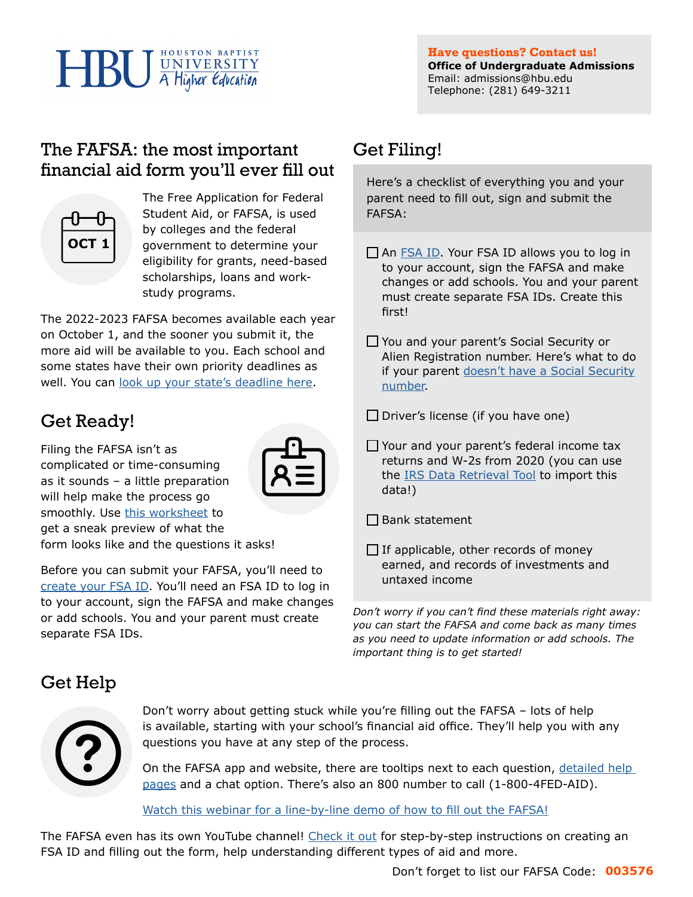# **HBU** WNIVERSITY

### The FAFSA: the most important financial aid form you'll ever fill out



The Free Application for Federal Student Aid, or FAFSA, is used by colleges and the federal government to determine your eligibility for grants, need-based scholarships, loans and workstudy programs.

The 2022-2023 FAFSA becomes available each year on October 1, and the sooner you submit it, the more aid will be available to you. Each school and some states have their own priority deadlines as [well. You can look up your state's](https://studentaid.gov/apply-for-aid/fafsa/fafsa-deadlines/) deadline here.

# Get Ready!

Filing the FAFSA isn't as complicated or time-consuming as it sounds – a little preparation will help make the process go smoothly. Use [this worksheet](https://studentaid.gov/sites/default/files/2020-21-fafsa-worksheet.pdf) to get a sneak preview of what the form looks like and the questions it asks!



Before you can submit your FAFSA, you'll need to [create your FSA ID](https://studentaid.gov/fsa-id/create-account/launch). You'll need an FSA ID to log in to your account, sign the FAFSA and make changes or add schools. You and your parent must create separate FSA IDs.

# Get Filing!

Here's a checklist of everything you and your parent need to fill out, sign and submit the FAFSA:

- $\Box$  An [FSA ID.](https://studentaid.gov/fsa-id/create-account/launch) Your FSA ID allows you to log in to your account, sign the FAFSA and make changes or add schools. You and your parent must create separate FSA IDs. Create this first!
- You and your parent's Social Security or Alien Registration number. Here's what to do if your parent [doesn't have a Social Security](https://studentaid.gov/sites/default/files/financial-aid-and-undocumented-students.pdf) [number.](https://studentaid.gov/sites/default/files/financial-aid-and-undocumented-students.pdf)

 $\square$  Driver's license (if you have one)

- □ Your and your parent's federal income tax returns and W-2s from 2020 (you can use the **IRS Data Retrieval Tool** to import this data!)
- $\Box$  Bank statement
- $\Box$  If applicable, other records of money earned, and records of investments and untaxed income

*Don't worry if you can't find these materials right away: you can start the FAFSA and come back as many times as you need to update information or add schools. The important thing is to get started!*

## Get Help



Don't worry about getting stuck while you're filling out the FAFSA – lots of help is available, starting with your school's financial aid office. They'll help you with any questions you have at any step of the process.

On the FAFSA app and website, there are tooltips next to each question, [detailed help](https://studentaid.gov/apply-for-aid/fafsa/filling-out/help)  [pages](https://studentaid.gov/apply-for-aid/fafsa/filling-out/help) and a chat option. There's also an 800 number to call (1-800-4FED-AID).

[Watch this webinar for a line-by-line demo of how to fill out the FAFSA!](https://cdnapisec.kaltura.com/index.php/extwidget/preview/partner_id/1155822/uiconf_id/43239991/entry_id/1_wp35svp5/embed/dynamic)

The FAFSA even has its own YouTube channel! [Check it out](https://www.youtube.com/user/FederalStudentAid) for step-by-step instructions on creating an FSA ID and filling out the form, help understanding different types of aid and more.

Don't forget to list our FAFSA Code: **003576**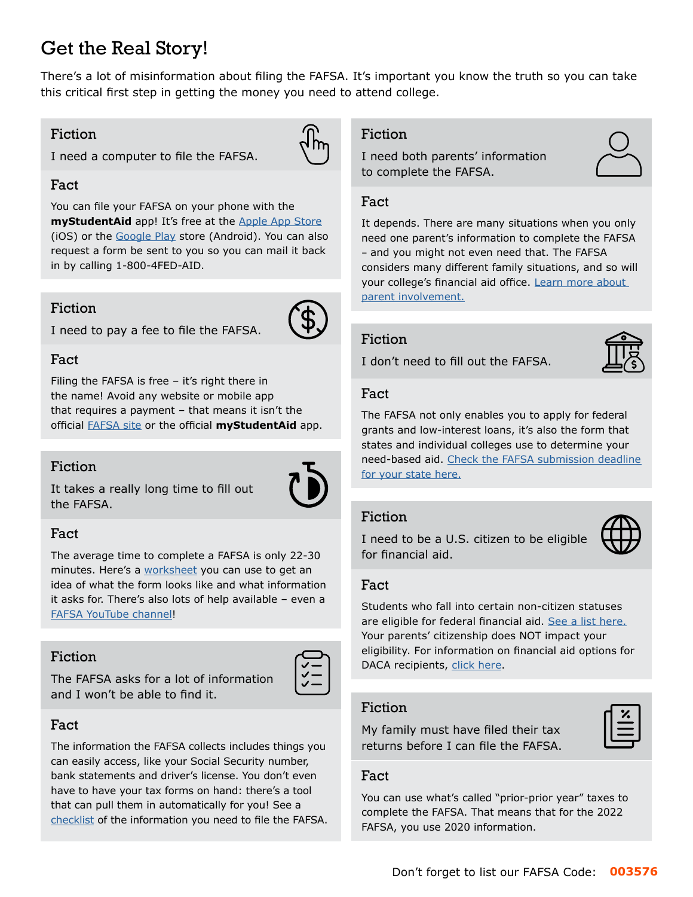# Get the Real Story!

There's a lot of misinformation about filing the FAFSA. It's important you know the truth so you can take this critical first step in getting the money you need to attend college.

#### Fiction

#### Fact

You can file your FAFSA on your phone with the **myStudentAid** app! It's free at the [Apple App Store](https://itunes.apple.com/us/app/mystudentaid/id1414539145) (iOS) or the [Google Play](https://play.google.com/store/apps/details?id=com.fsa.mystudentaid) store (Android). You can also request a form be sent to you so you can mail it back in by calling 1-800-4FED-AID.

#### Fiction

I need to pay a fee to file the FAFSA.

I need a computer to file the FAFSA.

#### Fact

Filing the FAFSA is free  $-$  it's right there in the name! Avoid any website or mobile app that requires a payment – that means it isn't the official [FAFSA site](https://studentaid.gov/h/apply-for-aid/fafsa) or the official **myStudentAid** app.

#### Fiction

It takes a really long time to fill out the FAFSA.

# Fact

The average time to complete a FAFSA is only 22-30 minutes. Here's a [worksheet](https://studentaid.gov/sites/default/files/2020-21-fafsa-worksheet.pdf) you can use to get an idea of what the form looks like and what information it asks for. There's also lots of help available – even a [FAFSA YouTube channel](https://www.youtube.com/user/FederalStudentAid)!

#### Fiction

The FAFSA asks for a lot of information and I won't be able to find it.



The information the FAFSA collects includes things you can easily access, like your Social Security number, bank statements and driver's license. You don't even have to have your tax forms on hand: there's a tool that can pull them in automatically for you! See a [checklist](https://studentaid.gov/apply-for-aid/fafsa/filling-out/help) of the information you need to file the FAFSA.

#### Fiction

I need both parents' information to complete the FAFSA.



#### Fact

It depends. There are many situations when you only need one parent's information to complete the FAFSA – and you might not even need that. The FAFSA considers many different family situations, and so will your college's financial aid office. [Learn more about](https://studentaid.gov/apply-for-aid/fafsa/filling-out/parent-info) [parent involvement.](https://studentaid.gov/apply-for-aid/fafsa/filling-out/parent-info)

#### Fiction

I don't need to fill out the FAFSA.



#### Fact

The FAFSA not only enables you to apply for federal grants and low-interest loans, it's also the form that states and individual colleges use to determine your need-based aid. [Check the FAFSA submission deadline](https://studentaid.gov/apply-for-aid/fafsa/fafsa-deadlines)  [for your state here.](https://studentaid.gov/apply-for-aid/fafsa/fafsa-deadlines) 

#### Fiction

I need to be a U.S. citizen to be eligible for financial aid.



#### Fact

Students who fall into certain non-citizen statuses are eligible for federal financial aid. [See a list here.](https://studentaid.gov/understand-aid/eligibility/requirements/non-us-citizens) Your parents' citizenship does NOT impact your eligibility. For information on financial aid options for DACA recipients, [click here](https://studentaid.gov/sites/default/files/financial-aid-and-undocumented-students.pdf).

#### Fiction

My family must have filed their tax returns before I can file the FAFSA.

#### Fact

You can use what's called "prior-prior year" taxes to complete the FAFSA. That means that for the 2022 FAFSA, you use 2020 information.